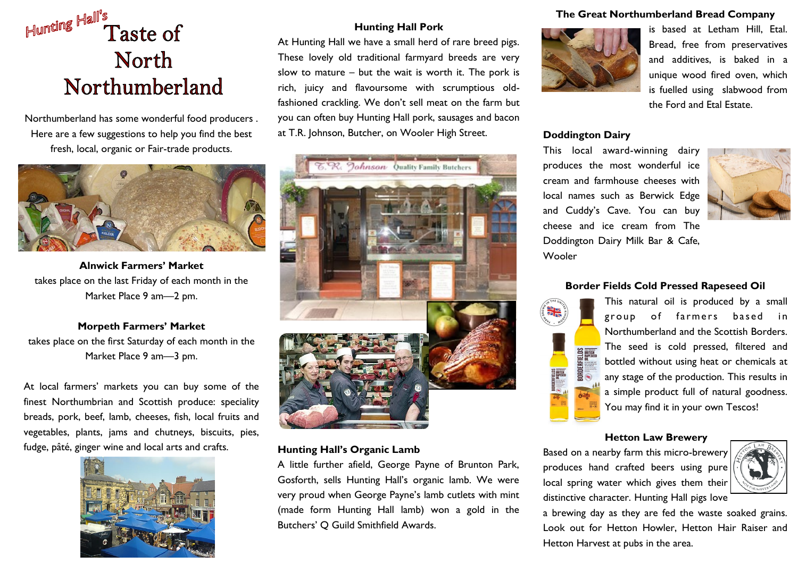# Hunting Hall's **Taste of North** Northumberland

Northumberland has some wonderful food producers . Here are a few suggestions to help you find the best fresh, local, organic or Fair-trade products.



**Alnwick Farmers' Market**  takes place on the last Friday of each month in the Market Place 9 am—2 pm.

## **Morpeth Farmers' Market**  takes place on the first Saturday of each month in the Market Place 9 am—3 pm.

At local farmers' markets you can buy some of the finest Northumbrian and Scottish produce: speciality breads, pork, beef, lamb, cheeses, fish, local fruits and vegetables, plants, jams and chutneys, biscuits, pies, fudge, pâté, ginger wine and local arts and crafts.



### **Hunting Hall Pork**

At Hunting Hall we have a small herd of rare breed pigs. These lovely old traditional farmyard breeds are very slow to mature – but the wait is worth it. The pork is rich, juicy and flavoursome with scrumptious oldfashioned crackling. We don't sell meat on the farm but you can often buy Hunting Hall pork, sausages and bacon at T.R. Johnson, Butcher, on Wooler High Street.



## **Hunting Hall's Organic Lamb**

A little further afield, George Payne of Brunton Park, Gosforth, sells Hunting Hall's organic lamb. We were very proud when George Payne's lamb cutlets with mint (made form Hunting Hall lamb) won a gold in the Butchers' Q Guild Smithfield Awards.

#### **The Great Northumberland Bread Company**



is based at Letham Hill, Etal. Bread, free from preservatives and additives, is baked in a unique wood fired oven, which is fuelled using slabwood from the Ford and Etal Estate.

#### **Doddington Dairy**

This local award-winning dairy produces the most wonderful ice cream and farmhouse cheeses with local names such as Berwick Edge and Cuddy's Cave. You can buy cheese and ice cream from The Doddington Dairy Milk Bar & Cafe, **Wooler** 



#### **Border Fields Cold Pressed Rapeseed Oil**



This natural oil is produced by a small group of farmers based in Northumberland and the Scottish Borders. The seed is cold pressed, filtered and bottled without using heat or chemicals at any stage of the production. This results in a simple product full of natural goodness. You may find it in your own Tescos!

#### **Hetton Law Brewery**

Based on a nearby farm this micro-brewery produces hand crafted beers using pure local spring water which gives them their distinctive character. Hunting Hall pigs love



a brewing day as they are fed the waste soaked grains. Look out for Hetton Howler, Hetton Hair Raiser and Hetton Harvest at pubs in the area.